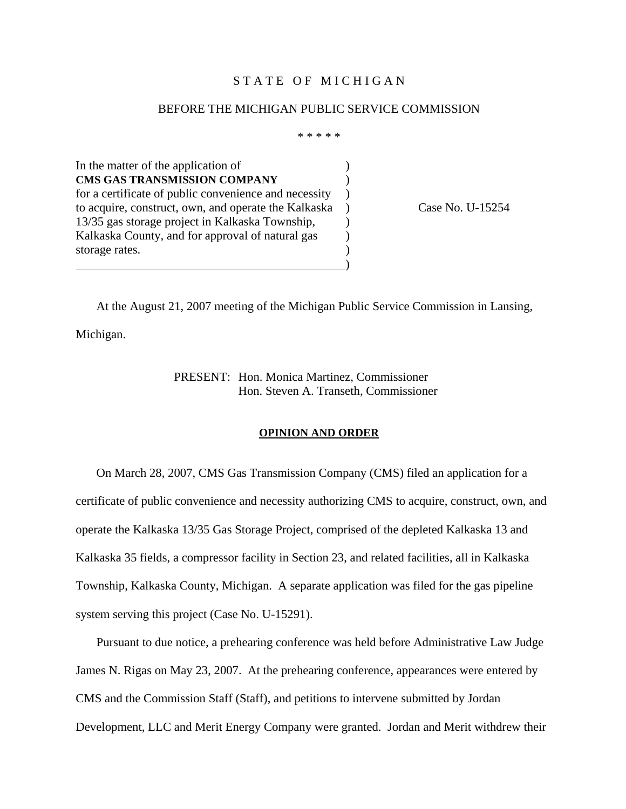### STATE OF MICHIGAN

#### BEFORE THE MICHIGAN PUBLIC SERVICE COMMISSION

\* \* \* \* \*

In the matter of the application of  $\qquad \qquad$  ) **CMS GAS TRANSMISSION COMPANY** ) for a certificate of public convenience and necessity ) to acquire, construct, own, and operate the Kalkaska ) Case No. U-15254 13/35 gas storage project in Kalkaska Township,  $\qquad)$ Kalkaska County, and for approval of natural gas (b) storage rates. )

 At the August 21, 2007 meeting of the Michigan Public Service Commission in Lansing, Michigan.

> PRESENT: Hon. Monica Martinez, Commissioner Hon. Steven A. Transeth, Commissioner

### **OPINION AND ORDER**

 On March 28, 2007, CMS Gas Transmission Company (CMS) filed an application for a certificate of public convenience and necessity authorizing CMS to acquire, construct, own, and operate the Kalkaska 13/35 Gas Storage Project, comprised of the depleted Kalkaska 13 and Kalkaska 35 fields, a compressor facility in Section 23, and related facilities, all in Kalkaska Township, Kalkaska County, Michigan. A separate application was filed for the gas pipeline system serving this project (Case No. U-15291).

 Pursuant to due notice, a prehearing conference was held before Administrative Law Judge James N. Rigas on May 23, 2007. At the prehearing conference, appearances were entered by CMS and the Commission Staff (Staff), and petitions to intervene submitted by Jordan Development, LLC and Merit Energy Company were granted. Jordan and Merit withdrew their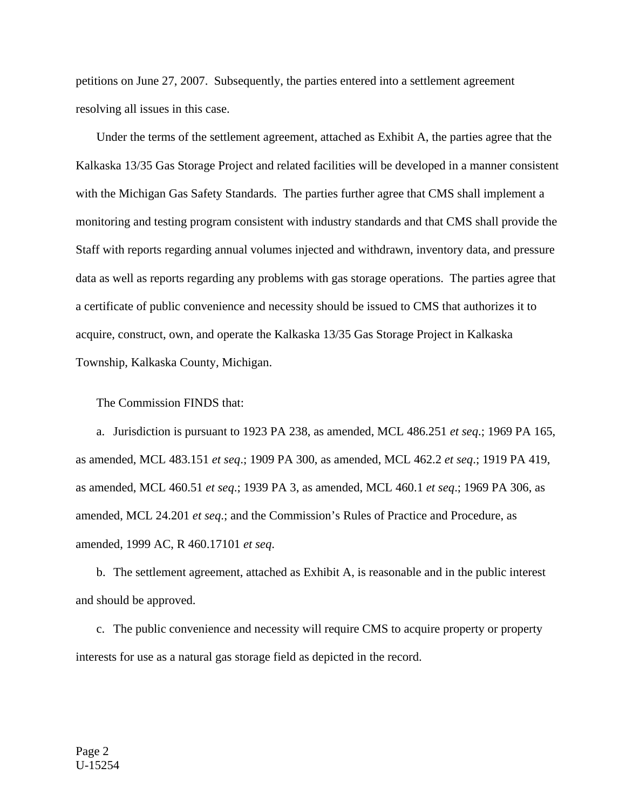petitions on June 27, 2007. Subsequently, the parties entered into a settlement agreement resolving all issues in this case.

 Under the terms of the settlement agreement, attached as Exhibit A, the parties agree that the Kalkaska 13/35 Gas Storage Project and related facilities will be developed in a manner consistent with the Michigan Gas Safety Standards. The parties further agree that CMS shall implement a monitoring and testing program consistent with industry standards and that CMS shall provide the Staff with reports regarding annual volumes injected and withdrawn, inventory data, and pressure data as well as reports regarding any problems with gas storage operations. The parties agree that a certificate of public convenience and necessity should be issued to CMS that authorizes it to acquire, construct, own, and operate the Kalkaska 13/35 Gas Storage Project in Kalkaska Township, Kalkaska County, Michigan.

The Commission FINDS that:

 a. Jurisdiction is pursuant to 1923 PA 238, as amended, MCL 486.251 *et seq*.; 1969 PA 165, as amended, MCL 483.151 *et seq*.; 1909 PA 300, as amended, MCL 462.2 *et seq*.; 1919 PA 419, as amended, MCL 460.51 *et seq*.; 1939 PA 3, as amended, MCL 460.1 *et seq*.; 1969 PA 306, as amended, MCL 24.201 *et seq*.; and the Commission's Rules of Practice and Procedure, as amended, 1999 AC, R 460.17101 *et seq*.

 b. The settlement agreement, attached as Exhibit A, is reasonable and in the public interest and should be approved.

 c. The public convenience and necessity will require CMS to acquire property or property interests for use as a natural gas storage field as depicted in the record.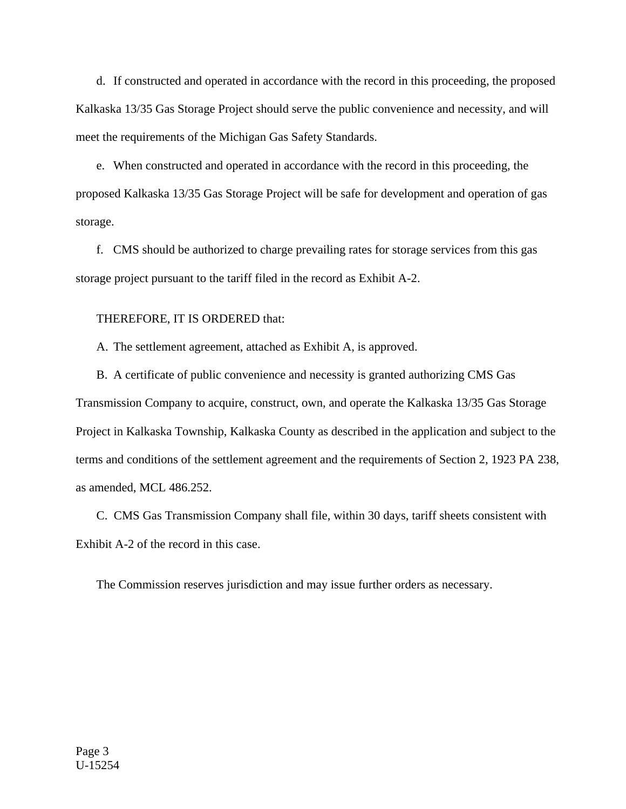d. If constructed and operated in accordance with the record in this proceeding, the proposed Kalkaska 13/35 Gas Storage Project should serve the public convenience and necessity, and will meet the requirements of the Michigan Gas Safety Standards.

 e. When constructed and operated in accordance with the record in this proceeding, the proposed Kalkaska 13/35 Gas Storage Project will be safe for development and operation of gas storage.

 f. CMS should be authorized to charge prevailing rates for storage services from this gas storage project pursuant to the tariff filed in the record as Exhibit A-2.

### THEREFORE, IT IS ORDERED that:

A. The settlement agreement, attached as Exhibit A, is approved.

 B. A certificate of public convenience and necessity is granted authorizing CMS Gas Transmission Company to acquire, construct, own, and operate the Kalkaska 13/35 Gas Storage Project in Kalkaska Township, Kalkaska County as described in the application and subject to the terms and conditions of the settlement agreement and the requirements of Section 2, 1923 PA 238, as amended, MCL 486.252.

 C. CMS Gas Transmission Company shall file, within 30 days, tariff sheets consistent with Exhibit A-2 of the record in this case.

The Commission reserves jurisdiction and may issue further orders as necessary.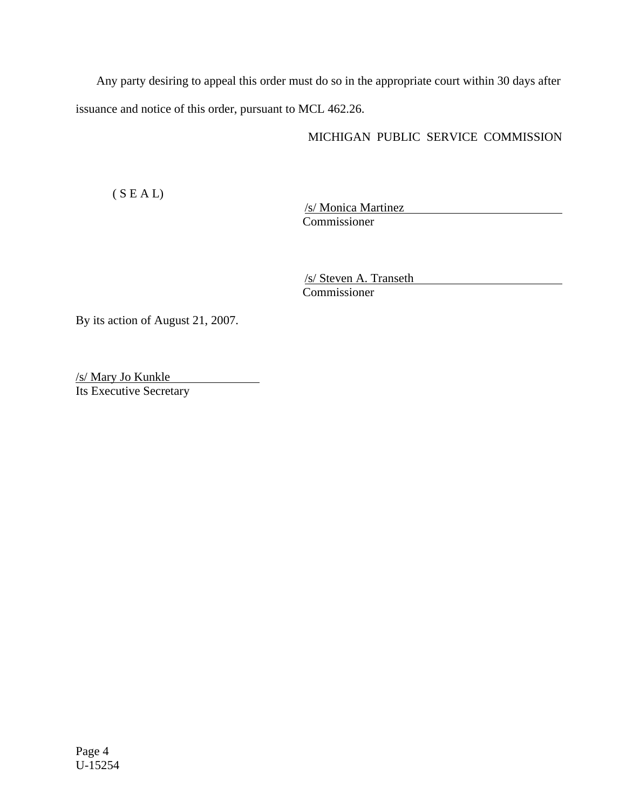Any party desiring to appeal this order must do so in the appropriate court within 30 days after issuance and notice of this order, pursuant to MCL 462.26.

# MICHIGAN PUBLIC SERVICE COMMISSION

( S E A L)

/s/ Monica Martinez Commissioner

/s/ Steven A. Transeth Commissioner

By its action of August 21, 2007.

/s/ Mary Jo Kunkle Its Executive Secretary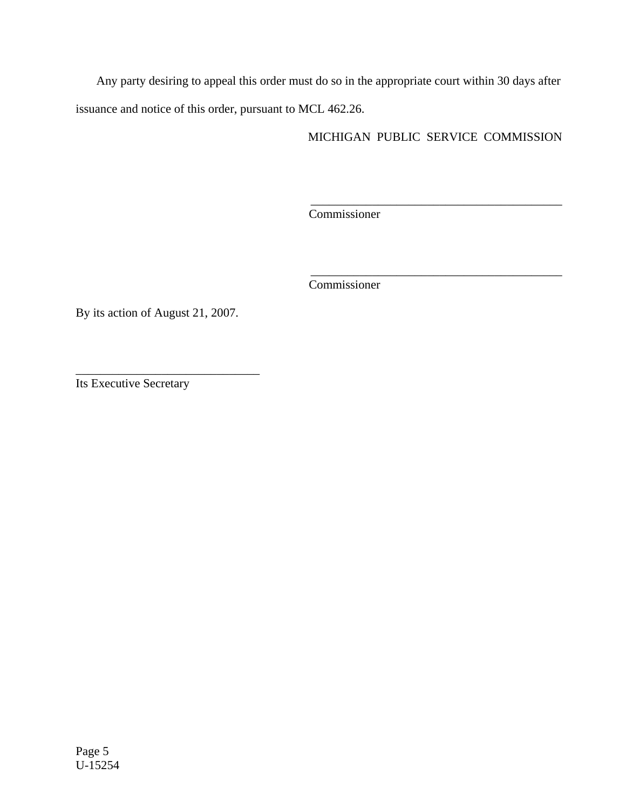Any party desiring to appeal this order must do so in the appropriate court within 30 days after issuance and notice of this order, pursuant to MCL 462.26.

MICHIGAN PUBLIC SERVICE COMMISSION

 $\frac{1}{2}$  , and the set of the set of the set of the set of the set of the set of the set of the set of the set of the set of the set of the set of the set of the set of the set of the set of the set of the set of the set

\_\_\_\_\_\_\_\_\_\_\_\_\_\_\_\_\_\_\_\_\_\_\_\_\_\_\_\_\_\_\_\_\_\_\_\_\_\_\_\_\_

Commissioner

Commissioner

By its action of August 21, 2007.

\_\_\_\_\_\_\_\_\_\_\_\_\_\_\_\_\_\_\_\_\_\_\_\_\_\_\_\_\_\_

Its Executive Secretary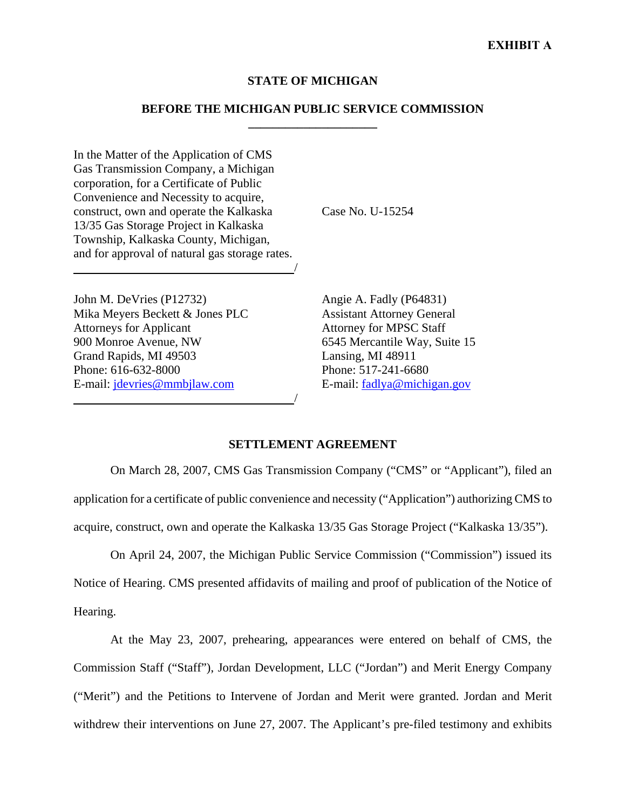### **STATE OF MICHIGAN**

### **BEFORE THE MICHIGAN PUBLIC SERVICE COMMISSION \_\_\_\_\_\_\_\_\_\_\_\_\_\_\_\_\_\_\_\_\_**

In the Matter of the Application of CMS Gas Transmission Company, a Michigan corporation, for a Certificate of Public Convenience and Necessity to acquire, construct, own and operate the Kalkaska 13/35 Gas Storage Project in Kalkaska Township, Kalkaska County, Michigan, and for approval of natural gas storage rates.

/

/

John M. DeVries (P12732) Mika Meyers Beckett & Jones PLC Attorneys for Applicant 900 Monroe Avenue, NW Grand Rapids, MI 49503 Phone: 616-632-8000 E-mail: jdevries@mmbjlaw.com

Case No. U-15254

Angie A. Fadly (P64831) Assistant Attorney General Attorney for MPSC Staff 6545 Mercantile Way, Suite 15 Lansing, MI 48911 Phone: 517-241-6680 E-mail: fadlya@michigan.gov

## **SETTLEMENT AGREEMENT**

On March 28, 2007, CMS Gas Transmission Company ("CMS" or "Applicant"), filed an application for a certificate of public convenience and necessity ("Application") authorizing CMS to acquire, construct, own and operate the Kalkaska 13/35 Gas Storage Project ("Kalkaska 13/35").

On April 24, 2007, the Michigan Public Service Commission ("Commission") issued its Notice of Hearing. CMS presented affidavits of mailing and proof of publication of the Notice of Hearing.

At the May 23, 2007, prehearing, appearances were entered on behalf of CMS, the Commission Staff ("Staff"), Jordan Development, LLC ("Jordan") and Merit Energy Company ("Merit") and the Petitions to Intervene of Jordan and Merit were granted. Jordan and Merit withdrew their interventions on June 27, 2007. The Applicant's pre-filed testimony and exhibits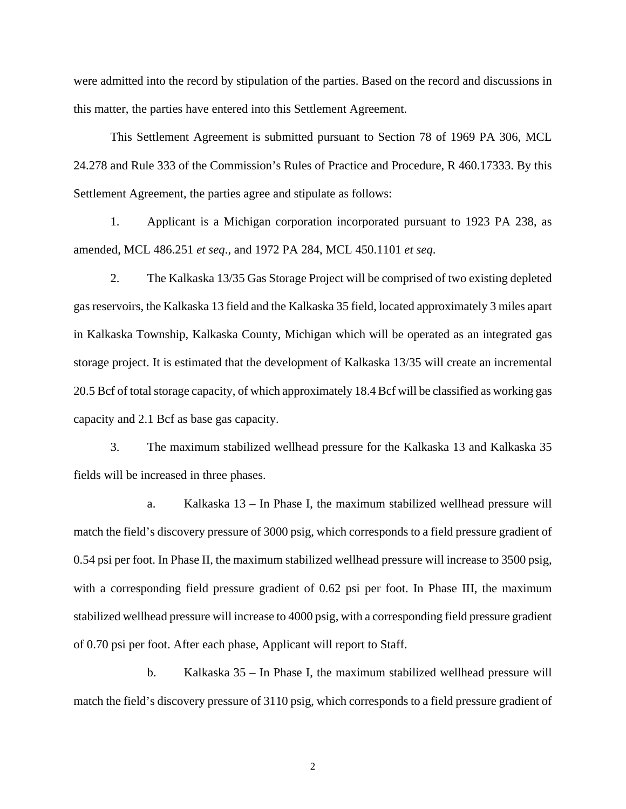were admitted into the record by stipulation of the parties. Based on the record and discussions in this matter, the parties have entered into this Settlement Agreement.

This Settlement Agreement is submitted pursuant to Section 78 of 1969 PA 306, MCL 24.278 and Rule 333 of the Commission's Rules of Practice and Procedure, R 460.17333. By this Settlement Agreement, the parties agree and stipulate as follows:

1. Applicant is a Michigan corporation incorporated pursuant to 1923 PA 238, as amended, MCL 486.251 *et seq*., and 1972 PA 284, MCL 450.1101 *et seq*.

2. The Kalkaska 13/35 Gas Storage Project will be comprised of two existing depleted gas reservoirs, the Kalkaska 13 field and the Kalkaska 35 field, located approximately 3 miles apart in Kalkaska Township, Kalkaska County, Michigan which will be operated as an integrated gas storage project. It is estimated that the development of Kalkaska 13/35 will create an incremental 20.5 Bcf of total storage capacity, of which approximately 18.4 Bcf will be classified as working gas capacity and 2.1 Bcf as base gas capacity.

3. The maximum stabilized wellhead pressure for the Kalkaska 13 and Kalkaska 35 fields will be increased in three phases.

a. Kalkaska 13 – In Phase I, the maximum stabilized wellhead pressure will match the field's discovery pressure of 3000 psig, which corresponds to a field pressure gradient of 0.54 psi per foot. In Phase II, the maximum stabilized wellhead pressure will increase to 3500 psig, with a corresponding field pressure gradient of 0.62 psi per foot. In Phase III, the maximum stabilized wellhead pressure will increase to 4000 psig, with a corresponding field pressure gradient of 0.70 psi per foot. After each phase, Applicant will report to Staff.

b. Kalkaska 35 – In Phase I, the maximum stabilized wellhead pressure will match the field's discovery pressure of 3110 psig, which corresponds to a field pressure gradient of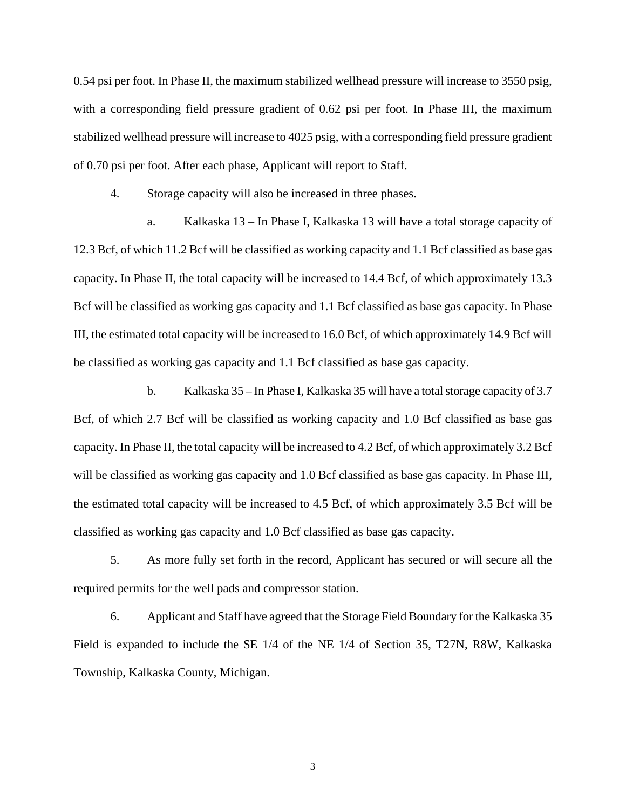0.54 psi per foot. In Phase II, the maximum stabilized wellhead pressure will increase to 3550 psig, with a corresponding field pressure gradient of 0.62 psi per foot. In Phase III, the maximum stabilized wellhead pressure will increase to 4025 psig, with a corresponding field pressure gradient of 0.70 psi per foot. After each phase, Applicant will report to Staff.

4. Storage capacity will also be increased in three phases.

a. Kalkaska 13 – In Phase I, Kalkaska 13 will have a total storage capacity of 12.3 Bcf, of which 11.2 Bcf will be classified as working capacity and 1.1 Bcf classified as base gas capacity. In Phase II, the total capacity will be increased to 14.4 Bcf, of which approximately 13.3 Bcf will be classified as working gas capacity and 1.1 Bcf classified as base gas capacity. In Phase III, the estimated total capacity will be increased to 16.0 Bcf, of which approximately 14.9 Bcf will be classified as working gas capacity and 1.1 Bcf classified as base gas capacity.

b. Kalkaska 35 – In Phase I, Kalkaska 35 will have a total storage capacity of 3.7 Bcf, of which 2.7 Bcf will be classified as working capacity and 1.0 Bcf classified as base gas capacity. In Phase II, the total capacity will be increased to 4.2 Bcf, of which approximately 3.2 Bcf will be classified as working gas capacity and 1.0 Bcf classified as base gas capacity. In Phase III, the estimated total capacity will be increased to 4.5 Bcf, of which approximately 3.5 Bcf will be classified as working gas capacity and 1.0 Bcf classified as base gas capacity.

5. As more fully set forth in the record, Applicant has secured or will secure all the required permits for the well pads and compressor station.

6. Applicant and Staff have agreed that the Storage Field Boundary for the Kalkaska 35 Field is expanded to include the SE 1/4 of the NE 1/4 of Section 35, T27N, R8W, Kalkaska Township, Kalkaska County, Michigan.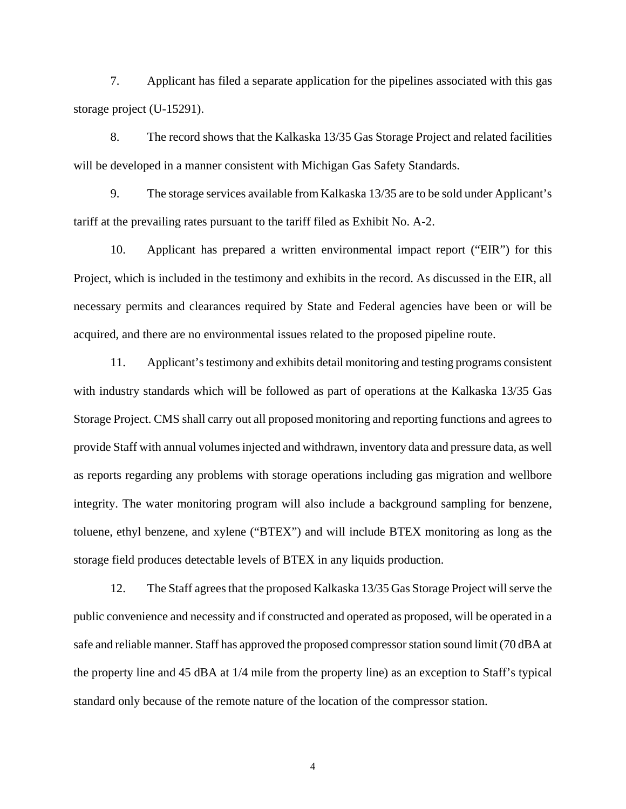7. Applicant has filed a separate application for the pipelines associated with this gas storage project (U-15291).

8. The record shows that the Kalkaska 13/35 Gas Storage Project and related facilities will be developed in a manner consistent with Michigan Gas Safety Standards.

9. The storage services available from Kalkaska 13/35 are to be sold under Applicant's tariff at the prevailing rates pursuant to the tariff filed as Exhibit No. A-2.

10. Applicant has prepared a written environmental impact report ("EIR") for this Project, which is included in the testimony and exhibits in the record. As discussed in the EIR, all necessary permits and clearances required by State and Federal agencies have been or will be acquired, and there are no environmental issues related to the proposed pipeline route.

11. Applicant's testimony and exhibits detail monitoring and testing programs consistent with industry standards which will be followed as part of operations at the Kalkaska 13/35 Gas Storage Project. CMS shall carry out all proposed monitoring and reporting functions and agrees to provide Staff with annual volumes injected and withdrawn, inventory data and pressure data, as well as reports regarding any problems with storage operations including gas migration and wellbore integrity. The water monitoring program will also include a background sampling for benzene, toluene, ethyl benzene, and xylene ("BTEX") and will include BTEX monitoring as long as the storage field produces detectable levels of BTEX in any liquids production.

12. The Staff agrees that the proposed Kalkaska 13/35 Gas Storage Project will serve the public convenience and necessity and if constructed and operated as proposed, will be operated in a safe and reliable manner. Staff has approved the proposed compressor station sound limit (70 dBA at the property line and 45 dBA at 1/4 mile from the property line) as an exception to Staff's typical standard only because of the remote nature of the location of the compressor station.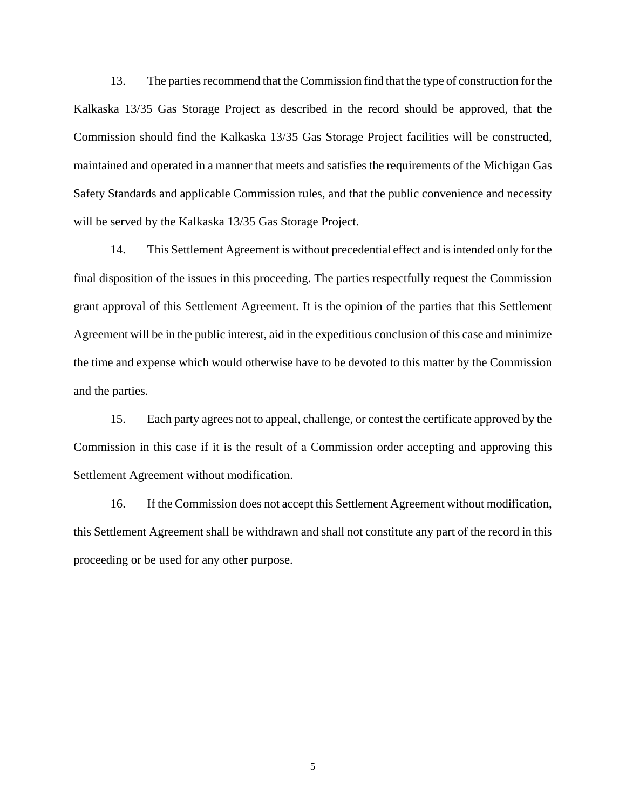13. The parties recommend that the Commission find that the type of construction for the Kalkaska 13/35 Gas Storage Project as described in the record should be approved, that the Commission should find the Kalkaska 13/35 Gas Storage Project facilities will be constructed, maintained and operated in a manner that meets and satisfies the requirements of the Michigan Gas Safety Standards and applicable Commission rules, and that the public convenience and necessity will be served by the Kalkaska 13/35 Gas Storage Project.

14. This Settlement Agreement is without precedential effect and is intended only for the final disposition of the issues in this proceeding. The parties respectfully request the Commission grant approval of this Settlement Agreement. It is the opinion of the parties that this Settlement Agreement will be in the public interest, aid in the expeditious conclusion of this case and minimize the time and expense which would otherwise have to be devoted to this matter by the Commission and the parties.

15. Each party agrees not to appeal, challenge, or contest the certificate approved by the Commission in this case if it is the result of a Commission order accepting and approving this Settlement Agreement without modification.

16. If the Commission does not accept this Settlement Agreement without modification, this Settlement Agreement shall be withdrawn and shall not constitute any part of the record in this proceeding or be used for any other purpose.